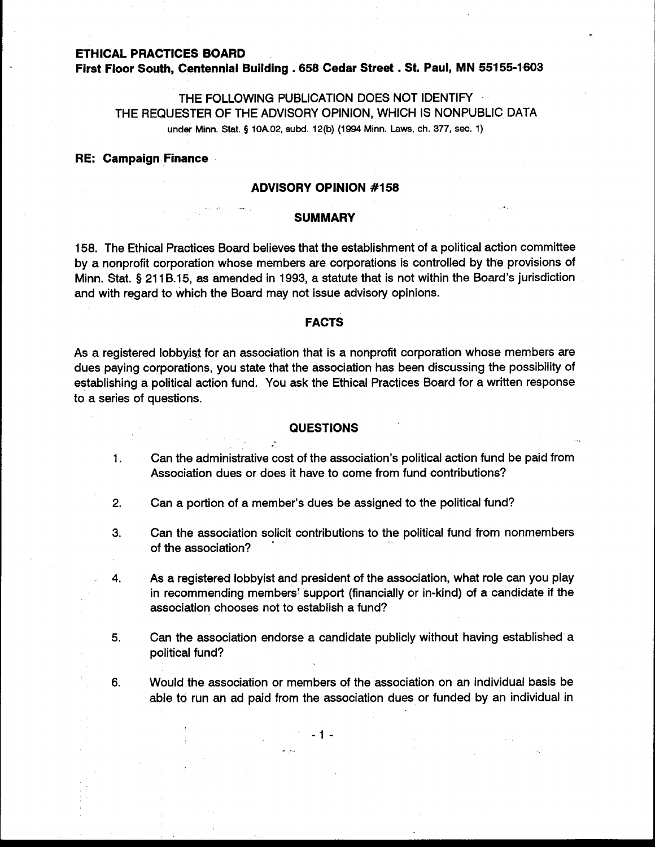# **ETHICAL PRACTICES BOARD**

**First Floor South, Centennial Building** . **<sup>658</sup>Cedar Street** . **St. Paul, MN 55155-1603** 

# THE FOLLOWING PUBLICATION DOES NOT IDENTIFY THE REQUESTER OF THE ADVISORY OPINION, WHICH IS NONPUBLIC DATA under Minn. Stat. **5** 10A.02, **subd.** 12(b) (1994 Minn. Laws, ch. **377, sec.** 1)

## **RE: Campaign Finance**

### **ADVISORY OPINION #I 58**

#### **SUMMARY**

-

158. The Ethical Practices Board believes that the establishment of a political action committee by a nonprofit corporation whose members are corporations is controlled by the provisions of Minn. Stat. § 211B.15, as amended in 1993, a statute that is not within the Board's jurisdiction and with regard to which the Board may not issue advisory opinions.

### **FACTS**

As a registered lobbyist for an association that is a nonprofit corporation whose members are dues paying corporations, you state that the association has been discussing the possibility of establishing a political action fund. You ask the Ethical Practices Board for a written response to a series of questions.

#### **QUESTIONS**

- 1. Can the administrative cost of the association's political action fund be paid from Association dues or does it have to come from fund contributions?
- **2.** Can a portion of a member's dues be assigned to the political fund?

Ä

- 3. Can the association solicit contributions to the political fund from nonmembers of the association?
- **4.** As a registered lobbyist and president of the association, what role can you play in recommending members' support (financially or in-kind) of a candidate if the association chooses not to establish a fund?
- **5.** Can the association endorse a candidate publicly without having established a political fund?
- **6.** Would the association or members of the association on an individual basis be able to run an ad paid from the association dues or funded by an individual in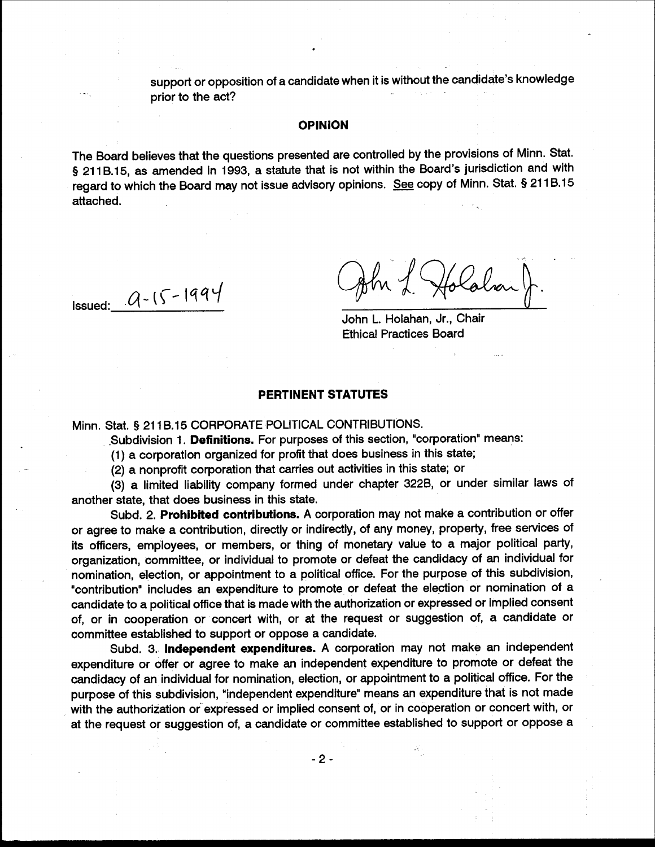support or opposition of a candidate when it is without the candidate's knowledge prior to the act?

### **OPINION**

The Board believes that the questions presented are controlled by the provisions of Minn. Stat. § 211B.15, as amended in 1993, a statute that is not within the Board's jurisdiction and with regard to which the Board may not issue advisory opinions. See copy of Minn. Stat. § 211B.15 attached.

**Issued:**  $Q - 15 - 1994$ 

Holabar

John L. Holahan, Jr., Chair **Ethical Practices Board** 

# PERTINENT STATUTES

Minn, Stat. § 211B.15 CORPORATE POLITICAL CONTRIBUTIONS.

Subdivision 1. Definitions. For purposes of this section, "corporation" means:

(1) a corporation organized for profit that does business in this state;

(2) a nonprofit corporation that carries out activities in this state; or

(3) a limited liability company formed under chapter 322B, or under similar laws of another state, that does business in this state.

Subd. 2. Prohibited contributions. A corporation may not make a contribution or offer or agree to make a contribution, directly or indirectly, of any money, property, free services of its officers, employees, or members, or thing of monetary value to a major political party, organization, committee, or individual to promote or defeat the candidacy of an individual for nomination, election, or appointment to a political office. For the purpose of this subdivision, "contribution" includes an expenditure to promote or defeat the election or nomination of a candidate to a political office that is made with the authorization or expressed or implied consent of, or in cooperation or concert with, or at the request or suggestion of, a candidate or committee established to support or oppose a candidate.

Subd. 3. Independent expenditures. A corporation may not make an independent expenditure or offer or agree to make an independent expenditure to promote or defeat the candidacy of an individual for nomination, election, or appointment to a political office. For the purpose of this subdivision, "independent expenditure" means an expenditure that is not made with the authorization or expressed or implied consent of, or in cooperation or concert with, or at the request or suggestion of, a candidate or committee established to support or oppose a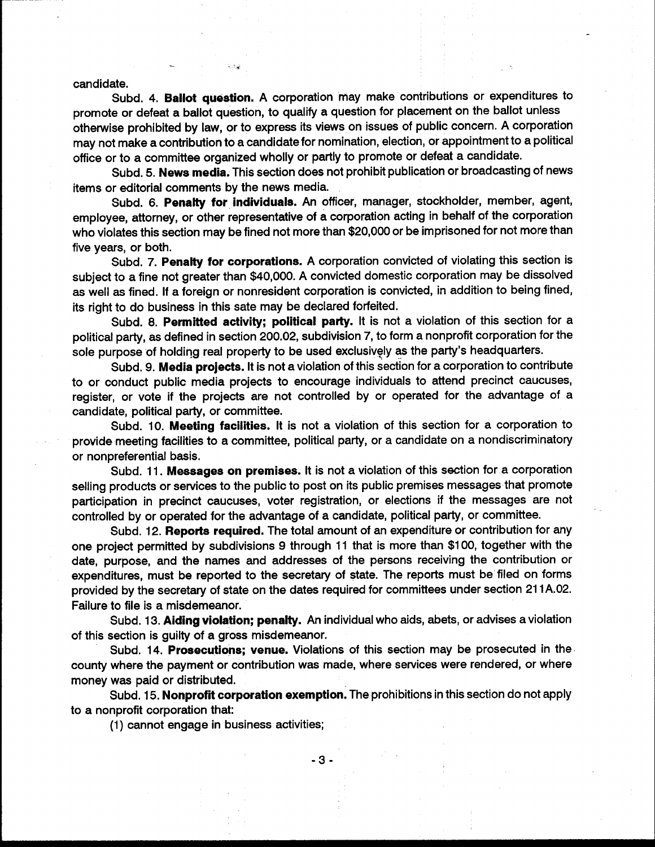candidate.

Subd. 4. Ballot question. A corporation may make contributions or expenditures to promote or defeat a ballot question, to qualify a question for placement on the ballot unless otherwise prohibited by law, or to express its views on issues of public concern. A corporation may not make a contribution to a candidate for nomination, election, or appointment to a political office or to a committee organized wholly or partly to promote or defeat a candidate.

Subd. 5. News media. This section does not prohibit publication or broadcasting of news items or editorial comments by the news media.

Subd. 6. Penalty for individuals. An officer, manager, stockholder, member, agent, employee, attorney, or other representative of a corporation acting in behalf of the corporation who violates this section may be fined not more than \$20,000 or be imprisoned for not more than five years, or both.

Subd. 7. Penalty for corporations. A corporation convicted of violating this section is subject to a fine not greater than \$40,000. A convicted domestic corporation may be dissolved as well as fined. If a foreign or nonresident corporation is convicted, in addition to being fined, its right to do business in this sate may be declared forfeited.

Subd. 8. Permitted activity; political party. It is not a violation of this section for a political party, as defined in section 200.02, subdivision 7, to form a nonprofit corporation for the sole purpose of holding real property to be used exclusively as the party's headquarters.

Subd. 9. Media projects. It is not a violation of this section for a corporation to contribute to or conduct public media projects to encourage individuals to attend precinct caucuses, register, or vote if the projects are not controlled by or operated for the advantage of a candidate, political party, or committee.

Subd. 10. Meeting facilities. It is not a violation of this section for a corporation to provide meeting facilities to a committee, political party, or a candidate on a nondiscriminatory or nonpreferential basis.

Subd. 11. Messages on premises. It is not a violation of this section for a corporation selling products or services to the public to post on its public premises messages that promote participation in precinct caucuses, voter registration, or elections if the messages are not controlled by or operated for the advantage of a candidate, political party, or committee.

Subd. 12. Reports required. The total amount of an expenditure or contribution for any one project permitted by subdivisions 9 through 11 that is more than \$100, together with the date, purpose, and the names and addresses of the persons receiving the contribution or expenditures, must be reported to the secretary of state. The reports must be filed on forms provided by the secretary of state on the dates required for committees under section 211A.02. Failure to file is a misdemeanor.

Subd. 13. Aiding violation; penalty. An individual who aids, abets, or advises a violation of this section is guilty of a gross misdemeanor.

Subd. 14. Prosecutions; venue. Violations of this section may be prosecuted in the county where the payment or contribution was made, where services were rendered, or where money was paid or distributed.

Subd. 15. Nonprofit corporation exemption. The prohibitions in this section do not apply to a nonprofit corporation that:

(1) cannot engage in business activities;